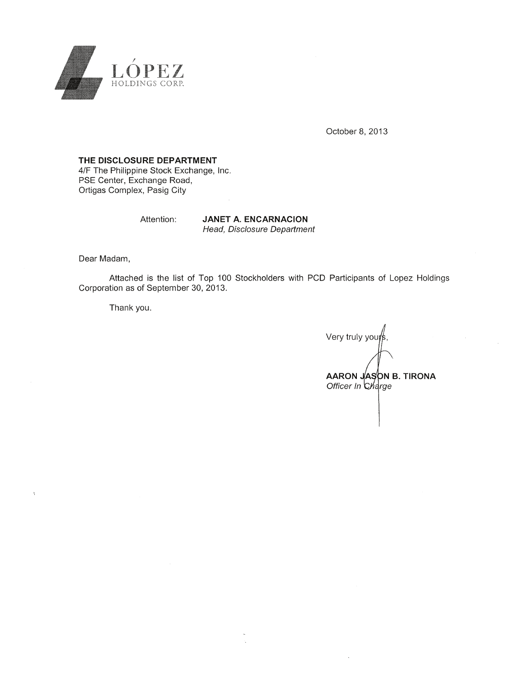

October 8, 2013

## THE DISCLOSURE DEPARTMENT

4/F The Philippine Stock Exchange, Inc. PSE Center, Exchange Road, Ortigas Complex, Pasig City

Attention:

**JANET A. ENCARNACION** Head, Disclosure Department

Dear Madam,

Attached is the list of Top 100 Stockholders with PCD Participants of Lopez Holdings Corporation as of September 30, 2013.

Thank you.

Very truly you<sub>j</sub> AARON JASON B. TIRONA Officer In Charge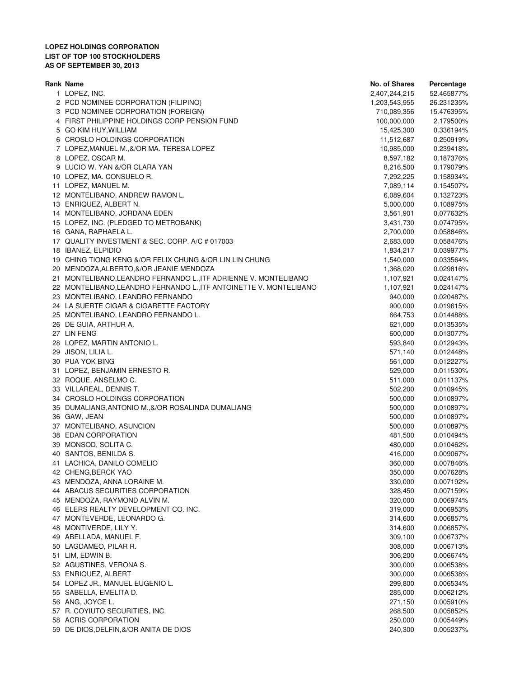## **LOPEZ HOLDINGS CORPORATION LIST OF TOP 100 STOCKHOLDERS AS OF SEPTEMBER 30, 2013**

| Rank Name                                                          | <b>No. of Shares</b> | Percentage |
|--------------------------------------------------------------------|----------------------|------------|
| 1 LOPEZ, INC.                                                      | 2,407,244,215        | 52.465877% |
| 2 PCD NOMINEE CORPORATION (FILIPINO)                               | 1,203,543,955        | 26.231235% |
| 3 PCD NOMINEE CORPORATION (FOREIGN)                                | 710,089,356          | 15.476395% |
| 4 FIRST PHILIPPINE HOLDINGS CORP PENSION FUND                      | 100,000,000          | 2.179500%  |
| 5 GO KIM HUY, WILLIAM                                              | 15,425,300           | 0.336194%  |
| 6 CROSLO HOLDINGS CORPORATION                                      | 11,512,687           | 0.250919%  |
| 7 LOPEZ, MANUEL M., &/OR MA. TERESA LOPEZ                          | 10,985,000           | 0.239418%  |
| 8 LOPEZ, OSCAR M.                                                  | 8,597,182            | 0.187376%  |
| 9 LUCIO W. YAN &/OR CLARA YAN                                      | 8,216,500            | 0.179079%  |
| 10 LOPEZ, MA. CONSUELO R.                                          | 7,292,225            | 0.158934%  |
| 11 LOPEZ, MANUEL M.                                                | 7,089,114            | 0.154507%  |
| 12 MONTELIBANO, ANDREW RAMON L.                                    | 6,089,604            | 0.132723%  |
| 13 ENRIQUEZ, ALBERT N.                                             | 5,000,000            | 0.108975%  |
| 14 MONTELIBANO, JORDANA EDEN                                       | 3,561,901            | 0.077632%  |
| 15 LOPEZ, INC. (PLEDGED TO METROBANK)                              | 3,431,730            | 0.074795%  |
| 16 GANA, RAPHAELA L.                                               | 2,700,000            | 0.058846%  |
| 17 QUALITY INVESTMENT & SEC. CORP. A/C # 017003                    |                      |            |
|                                                                    | 2,683,000            | 0.058476%  |
| 18 IBANEZ, ELPIDIO                                                 | 1,834,217            | 0.039977%  |
| 19 CHING TIONG KENG &/OR FELIX CHUNG &/OR LIN LIN CHUNG            | 1,540,000            | 0.033564%  |
| 20 MENDOZA, ALBERTO, &/OR JEANIE MENDOZA                           | 1,368,020            | 0.029816%  |
| 21 MONTELIBANO, LEANDRO FERNANDO L., ITF ADRIENNE V. MONTELIBANO   | 1,107,921            | 0.024147%  |
| 22 MONTELIBANO, LEANDRO FERNANDO L., ITF ANTOINETTE V. MONTELIBANO | 1,107,921            | 0.024147%  |
| 23 MONTELIBANO, LEANDRO FERNANDO                                   | 940,000              | 0.020487%  |
| 24 LA SUERTE CIGAR & CIGARETTE FACTORY                             | 900,000              | 0.019615%  |
| 25 MONTELIBANO, LEANDRO FERNANDO L.                                | 664,753              | 0.014488%  |
| 26 DE GUIA, ARTHUR A.                                              | 621,000              | 0.013535%  |
| 27 LIN FENG                                                        | 600,000              | 0.013077%  |
| 28 LOPEZ, MARTIN ANTONIO L.                                        | 593,840              | 0.012943%  |
| 29 JISON, LILIA L.                                                 | 571,140              | 0.012448%  |
| 30 PUA YOK BING                                                    | 561,000              | 0.012227%  |
| 31 LOPEZ, BENJAMIN ERNESTO R.                                      | 529,000              | 0.011530%  |
| 32 ROQUE, ANSELMO C.                                               | 511,000              | 0.011137%  |
| 33 VILLAREAL, DENNIS T.                                            | 502,200              | 0.010945%  |
| 34 CROSLO HOLDINGS CORPORATION                                     | 500,000              | 0.010897%  |
| 35 DUMALIANG, ANTONIO M., &/OR ROSALINDA DUMALIANG                 | 500,000              | 0.010897%  |
| 36 GAW, JEAN                                                       | 500,000              | 0.010897%  |
| 37 MONTELIBANO, ASUNCION                                           | 500,000              | 0.010897%  |
| 38 EDAN CORPORATION                                                | 481,500              | 0.010494%  |
| 39 MONSOD, SOLITA C.                                               | 480,000              | 0.010462%  |
| 40 SANTOS, BENILDA S.                                              | 416,000              | 0.009067%  |
| 41 LACHICA, DANILO COMELIO                                         | 360,000              | 0.007846%  |
| 42 CHENG, BERCK YAO                                                | 350,000              | 0.007628%  |
| 43 MENDOZA, ANNA LORAINE M.                                        | 330,000              | 0.007192%  |
| 44 ABACUS SECURITIES CORPORATION                                   | 328,450              | 0.007159%  |
| 45 MENDOZA, RAYMOND ALVIN M.                                       | 320,000              | 0.006974%  |
| 46 ELERS REALTY DEVELOPMENT CO. INC.                               | 319,000              | 0.006953%  |
| 47 MONTEVERDE, LEONARDO G.                                         | 314,600              | 0.006857%  |
| 48 MONTIVERDE, LILY Y.                                             | 314,600              | 0.006857%  |
| 49 ABELLADA, MANUEL F.                                             | 309,100              | 0.006737%  |
| 50 LAGDAMEO, PILAR R.                                              | 308,000              | 0.006713%  |
| 51 LIM, EDWIN B.                                                   | 306,200              | 0.006674%  |
| 52 AGUSTINES, VERONA S.                                            | 300,000              | 0.006538%  |
|                                                                    |                      |            |
| 53 ENRIQUEZ, ALBERT                                                | 300,000              | 0.006538%  |
| 54 LOPEZ JR., MANUEL EUGENIO L.                                    | 299,800              | 0.006534%  |
| 55 SABELLA, EMELITA D.                                             | 285,000              | 0.006212%  |
| 56 ANG, JOYCE L.                                                   | 271,150              | 0.005910%  |
| 57 R. COYIUTO SECURITIES, INC.                                     | 268,500              | 0.005852%  |
| 58 ACRIS CORPORATION                                               | 250,000              | 0.005449%  |
| 59 DE DIOS, DELFIN, & OR ANITA DE DIOS                             | 240,300              | 0.005237%  |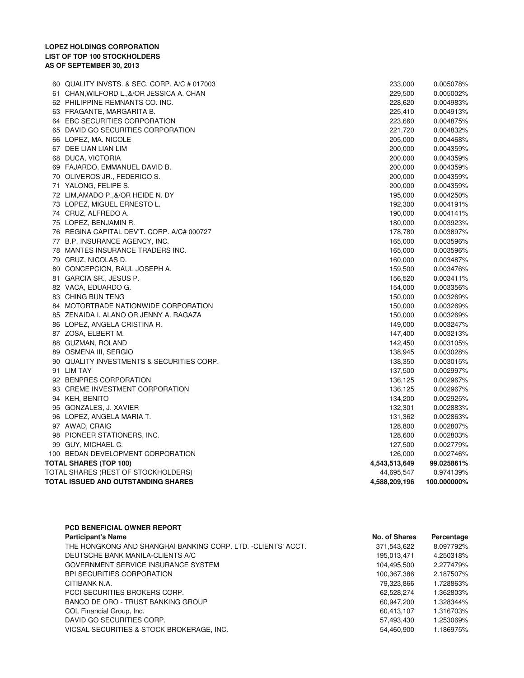## **LOPEZ HOLDINGS CORPORATION LIST OF TOP 100 STOCKHOLDERS AS OF SEPTEMBER 30, 2013**

| 60 QUALITY INVSTS. & SEC. CORP. A/C # 017003 | 233,000       | 0.005078%   |
|----------------------------------------------|---------------|-------------|
| 61 CHAN, WILFORD L., &/OR JESSICA A. CHAN    | 229,500       | 0.005002%   |
| 62 PHILIPPINE REMNANTS CO. INC.              | 228,620       | 0.004983%   |
| 63 FRAGANTE, MARGARITA B.                    | 225,410       | 0.004913%   |
| 64 EBC SECURITIES CORPORATION                | 223,660       | 0.004875%   |
| 65 DAVID GO SECURITIES CORPORATION           | 221,720       | 0.004832%   |
| 66 LOPEZ, MA. NICOLE                         | 205,000       | 0.004468%   |
| 67 DEE LIAN LIAN LIM                         | 200,000       | 0.004359%   |
| 68 DUCA, VICTORIA                            | 200,000       | 0.004359%   |
| 69 FAJARDO, EMMANUEL DAVID B.                | 200,000       | 0.004359%   |
| 70 OLIVEROS JR., FEDERICO S.                 | 200,000       | 0.004359%   |
| 71 YALONG, FELIPE S.                         | 200,000       | 0.004359%   |
| 72 LIM, AMADO P., &/OR HEIDE N. DY           | 195,000       | 0.004250%   |
| 73 LOPEZ, MIGUEL ERNESTO L.                  | 192,300       | 0.004191%   |
| 74 CRUZ, ALFREDO A.                          | 190,000       | 0.004141%   |
| 75 LOPEZ, BENJAMIN R.                        | 180,000       | 0.003923%   |
| 76 REGINA CAPITAL DEV'T. CORP. A/C# 000727   | 178,780       | 0.003897%   |
| 77 B.P. INSURANCE AGENCY, INC.               | 165,000       | 0.003596%   |
| 78 MANTES INSURANCE TRADERS INC.             | 165,000       | 0.003596%   |
| 79 CRUZ, NICOLAS D.                          | 160,000       | 0.003487%   |
| 80 CONCEPCION, RAUL JOSEPH A.                | 159,500       | 0.003476%   |
| 81 GARCIA SR., JESUS P.                      | 156,520       | 0.003411%   |
| 82 VACA, EDUARDO G.                          | 154,000       | 0.003356%   |
| 83 CHING BUN TENG                            | 150,000       | 0.003269%   |
| 84 MOTORTRADE NATIONWIDE CORPORATION         | 150,000       | 0.003269%   |
| 85 ZENAIDA I. ALANO OR JENNY A. RAGAZA       | 150,000       | 0.003269%   |
| 86 LOPEZ, ANGELA CRISTINA R.                 | 149,000       | 0.003247%   |
| 87 ZOSA, ELBERT M.                           | 147,400       | 0.003213%   |
| 88 GUZMAN, ROLAND                            | 142,450       | 0.003105%   |
| 89 OSMENA III, SERGIO                        | 138,945       | 0.003028%   |
| 90 QUALITY INVESTMENTS & SECURITIES CORP.    | 138,350       | 0.003015%   |
| 91 LIM TAY                                   | 137,500       | 0.002997%   |
| 92 BENPRES CORPORATION                       | 136,125       | 0.002967%   |
| 93 CREME INVESTMENT CORPORATION              | 136,125       | 0.002967%   |
| 94 KEH, BENITO                               | 134,200       | 0.002925%   |
| 95 GONZALES, J. XAVIER                       | 132,301       | 0.002883%   |
| 96 LOPEZ, ANGELA MARIA T.                    | 131,362       | 0.002863%   |
| 97 AWAD, CRAIG                               | 128,800       | 0.002807%   |
| 98 PIONEER STATIONERS, INC.                  | 128,600       | 0.002803%   |
| 99 GUY, MICHAEL C.                           | 127,500       | 0.002779%   |
| 100 BEDAN DEVELOPMENT CORPORATION            | 126,000       | 0.002746%   |
| <b>TOTAL SHARES (TOP 100)</b>                | 4,543,513,649 | 99.025861%  |
| TOTAL SHARES (REST OF STOCKHOLDERS)          | 44,695,547    | 0.974139%   |
| TOTAL ISSUED AND OUTSTANDING SHARES          | 4,588,209,196 | 100.000000% |
|                                              |               |             |

| <b>PCD BENEFICIAL OWNER REPORT</b>                           |               |            |
|--------------------------------------------------------------|---------------|------------|
| <b>Participant's Name</b>                                    | No. of Shares | Percentage |
| THE HONGKONG AND SHANGHAI BANKING CORP. LTD. -CLIENTS' ACCT. | 371,543,622   | 8.097792%  |
| DEUTSCHE BANK MANILA-CLIENTS A/C                             | 195.013.471   | 4.250318%  |
| GOVERNMENT SERVICE INSURANCE SYSTEM                          | 104,495,500   | 2.277479%  |
| <b>BPI SECURITIES CORPORATION</b>                            | 100,367,386   | 2.187507%  |
| CITIBANK N.A.                                                | 79.323.866    | 1.728863%  |
| PCCI SECURITIES BROKERS CORP.                                | 62.528.274    | 1.362803%  |
| BANCO DE ORO - TRUST BANKING GROUP                           | 60,947,200    | 1.328344%  |
| COL Financial Group, Inc.                                    | 60,413,107    | 1.316703%  |
| DAVID GO SECURITIES CORP.                                    | 57,493,430    | 1.253069%  |
| VICSAL SECURITIES & STOCK BROKERAGE, INC.                    | 54.460.900    | 1.186975%  |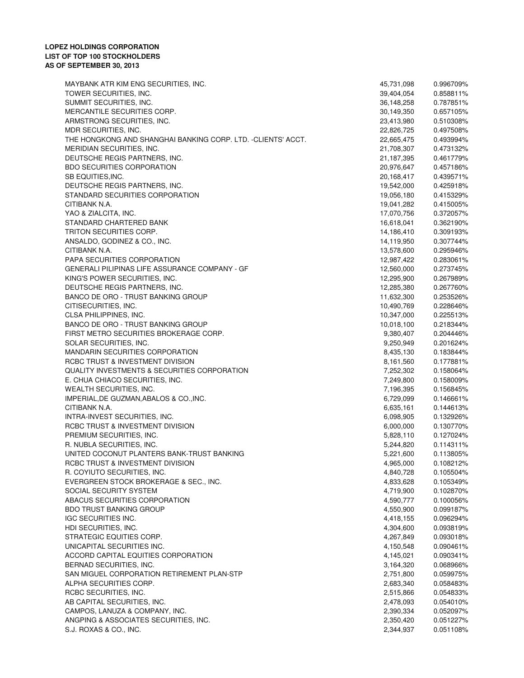| MAYBANK ATR KIM ENG SECURITIES, INC.                          | 45,731,098             | 0.996709%              |
|---------------------------------------------------------------|------------------------|------------------------|
| TOWER SECURITIES, INC.                                        | 39,404,054             | 0.858811%              |
| SUMMIT SECURITIES, INC.                                       | 36,148,258             | 0.787851%              |
| MERCANTILE SECURITIES CORP.                                   | 30,149,350             | 0.657105%              |
| ARMSTRONG SECURITIES, INC.                                    | 23,413,980             | 0.510308%              |
| MDR SECURITIES, INC.                                          | 22,826,725             | 0.497508%              |
| THE HONGKONG AND SHANGHAI BANKING CORP. LTD. - CLIENTS' ACCT. | 22,665,475             | 0.493994%              |
| MERIDIAN SECURITIES, INC.                                     | 21,708,307             | 0.473132%              |
| DEUTSCHE REGIS PARTNERS, INC.                                 | 21,187,395             | 0.461779%              |
| <b>BDO SECURITIES CORPORATION</b>                             | 20,976,647             | 0.457186%              |
| SB EQUITIES, INC.                                             | 20,168,417             | 0.439571%              |
| DEUTSCHE REGIS PARTNERS, INC.                                 | 19,542,000             | 0.425918%              |
| STANDARD SECURITIES CORPORATION                               | 19,056,180             | 0.415329%              |
| CITIBANK N.A.                                                 | 19,041,282             | 0.415005%              |
| YAO & ZIALCITA, INC.                                          | 17,070,756             | 0.372057%              |
| STANDARD CHARTERED BANK                                       | 16,618,041             | 0.362190%              |
| TRITON SECURITIES CORP.                                       | 14,186,410             | 0.309193%              |
| ANSALDO, GODINEZ & CO., INC.                                  | 14,119,950             | 0.307744%              |
| CITIBANK N.A.                                                 | 13,578,600             | 0.295946%              |
| PAPA SECURITIES CORPORATION                                   | 12,987,422             | 0.283061%              |
| <b>GENERALI PILIPINAS LIFE ASSURANCE COMPANY - GF</b>         | 12,560,000             | 0.273745%              |
| KING'S POWER SECURITIES, INC.                                 | 12,295,900             | 0.267989%              |
| DEUTSCHE REGIS PARTNERS, INC.                                 | 12,285,380             | 0.267760%              |
| BANCO DE ORO - TRUST BANKING GROUP                            | 11,632,300             | 0.253526%              |
| CITISECURITIES, INC.                                          | 10,490,769             | 0.228646%              |
| CLSA PHILIPPINES, INC.                                        | 10,347,000             | 0.225513%              |
| BANCO DE ORO - TRUST BANKING GROUP                            | 10,018,100             | 0.218344%              |
| FIRST METRO SECURITIES BROKERAGE CORP.                        | 9,380,407              | 0.204446%              |
| SOLAR SECURITIES, INC.                                        | 9,250,949              | 0.201624%              |
| <b>MANDARIN SECURITIES CORPORATION</b>                        | 8,435,130              | 0.183844%              |
| RCBC TRUST & INVESTMENT DIVISION                              | 8,161,560              | 0.177881%              |
| QUALITY INVESTMENTS & SECURITIES CORPORATION                  | 7,252,302              | 0.158064%              |
| E. CHUA CHIACO SECURITIES, INC.                               | 7,249,800              | 0.158009%              |
| WEALTH SECURITIES, INC.                                       | 7,196,395              | 0.156845%              |
| IMPERIAL, DE GUZMAN, ABALOS & CO., INC.                       | 6,729,099              | 0.146661%              |
| CITIBANK N.A.                                                 | 6,635,161              | 0.144613%              |
| INTRA-INVEST SECURITIES, INC.                                 | 6,098,905              | 0.132926%              |
| RCBC TRUST & INVESTMENT DIVISION                              | 6,000,000              | 0.130770%              |
| PREMIUM SECURITIES, INC.                                      | 5,828,110              | 0.127024%              |
| R. NUBLA SECURITIES, INC.                                     | 5,244,820              | 0.114311%              |
| UNITED COCONUT PLANTERS BANK-TRUST BANKING                    | 5,221,600              | 0.113805%              |
| RCBC TRUST & INVESTMENT DIVISION                              | 4,965,000              | 0.108212%              |
| R. COYIUTO SECURITIES, INC.                                   | 4,840,728              | 0.105504%              |
| EVERGREEN STOCK BROKERAGE & SEC., INC.                        | 4,833,628              | 0.105349%              |
| SOCIAL SECURITY SYSTEM                                        | 4,719,900              | 0.102870%              |
| ABACUS SECURITIES CORPORATION                                 | 4,590,777              | 0.100056%              |
| <b>BDO TRUST BANKING GROUP</b>                                | 4,550,900              | 0.099187%              |
| <b>IGC SECURITIES INC.</b>                                    | 4,418,155              | 0.096294%              |
| HDI SECURITIES, INC.                                          | 4,304,600              | 0.093819%              |
| STRATEGIC EQUITIES CORP.                                      |                        |                        |
| UNICAPITAL SECURITIES INC.                                    | 4,267,849<br>4,150,548 | 0.093018%<br>0.090461% |
|                                                               |                        |                        |
| ACCORD CAPITAL EQUITIES CORPORATION                           | 4,145,021              | 0.090341%              |
| BERNAD SECURITIES, INC.                                       | 3,164,320              | 0.068966%              |
| SAN MIGUEL CORPORATION RETIREMENT PLAN-STP                    | 2,751,800              | 0.059975%              |
| ALPHA SECURITIES CORP.                                        | 2,683,340              | 0.058483%              |
| RCBC SECURITIES, INC.                                         | 2,515,866              | 0.054833%              |
| AB CAPITAL SECURITIES, INC.                                   | 2,478,093              | 0.054010%              |
| CAMPOS, LANUZA & COMPANY, INC.                                | 2,390,334              | 0.052097%              |
| ANGPING & ASSOCIATES SECURITIES, INC.                         | 2,350,420              | 0.051227%              |
| S.J. ROXAS & CO., INC.                                        | 2,344,937              | 0.051108%              |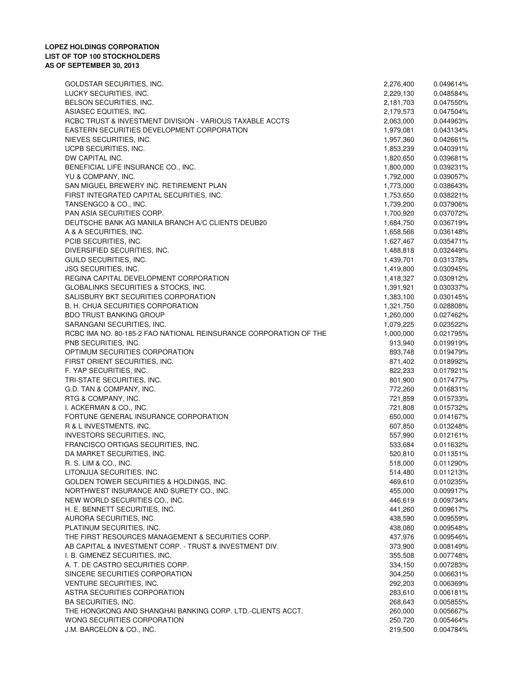## **LOPEZ HOLDINGS CORPORATION LIST OF TOP 100 STOCKHOLDERS AS OF SEPTEMBER 30, 2013**

| GOLDSTAR SECURITIES, INC.                                         | 2,276,400 | 0.049614% |
|-------------------------------------------------------------------|-----------|-----------|
| LUCKY SECURITIES, INC.                                            | 2,229,130 | 0.048584% |
| BELSON SECURITIES, INC.                                           | 2,181,703 | 0.047550% |
| ASIASEC EQUITIES, INC.                                            | 2,179,573 | 0.047504% |
| RCBC TRUST & INVESTMENT DIVISION - VARIOUS TAXABLE ACCTS          | 2,063,000 | 0.044963% |
| EASTERN SECURITIES DEVELOPMENT CORPORATION                        | 1,979,081 | 0.043134% |
| NIEVES SECURITIES, INC.                                           | 1,957,360 | 0.042661% |
| UCPB SECURITIES, INC.                                             | 1,853,239 | 0.040391% |
| DW CAPITAL INC.                                                   | 1,820,650 | 0.039681% |
| BENEFICIAL LIFE INSURANCE CO., INC.                               | 1,800,000 | 0.039231% |
| YU & COMPANY, INC.                                                | 1,792,000 | 0.039057% |
| SAN MIGUEL BREWERY INC. RETIREMENT PLAN                           |           |           |
|                                                                   | 1,773,000 | 0.038643% |
| FIRST INTEGRATED CAPITAL SECURITIES, INC.                         | 1,753,650 | 0.038221% |
| TANSENGCO & CO., INC.                                             | 1,739,200 | 0.037906% |
| PAN ASIA SECURITIES CORP.                                         | 1,700,920 | 0.037072% |
| DEUTSCHE BANK AG MANILA BRANCH A/C CLIENTS DEUB20                 | 1,684,750 | 0.036719% |
| A & A SECURITIES, INC.                                            | 1,658,566 | 0.036148% |
| PCIB SECURITIES, INC.                                             | 1,627,467 | 0.035471% |
| DIVERSIFIED SECURITIES, INC.                                      | 1,488,818 | 0.032449% |
| GUILD SECURITIES, INC.                                            | 1,439,701 | 0.031378% |
| <b>JSG SECURITIES, INC.</b>                                       | 1,419,800 | 0.030945% |
| REGINA CAPITAL DEVELOPMENT CORPORATION                            | 1,418,327 | 0.030912% |
| GLOBALINKS SECURITIES & STOCKS, INC.                              | 1,391,921 | 0.030337% |
| SALISBURY BKT SECURITIES CORPORATION                              | 1,383,100 | 0.030145% |
| B. H. CHUA SECURITIES CORPORATION                                 | 1,321,750 | 0.028808% |
| <b>BDO TRUST BANKING GROUP</b>                                    | 1,260,000 | 0.027462% |
| SARANGANI SECURITIES, INC.                                        | 1,079,225 | 0.023522% |
| RCBC IMA NO. 80-185-2 FAO NATIONAL REINSURANCE CORPORATION OF THE | 1,000,000 | 0.021795% |
|                                                                   |           |           |
| PNB SECURITIES, INC.                                              | 913,940   | 0.019919% |
| OPTIMUM SECURITIES CORPORATION                                    | 893,748   | 0.019479% |
| FIRST ORIENT SECURITIES, INC.                                     | 871,402   | 0.018992% |
| F. YAP SECURITIES, INC.                                           | 822,233   | 0.017921% |
| TRI-STATE SECURITIES, INC.                                        | 801,900   | 0.017477% |
| G.D. TAN & COMPANY, INC.                                          | 772,260   | 0.016831% |
| RTG & COMPANY, INC.                                               | 721,859   | 0.015733% |
| I. ACKERMAN & CO., INC.                                           | 721,808   | 0.015732% |
| FORTUNE GENERAL INSURANCE CORPORATION                             | 650,000   | 0.014167% |
| R & L INVESTMENTS, INC.                                           | 607,850   | 0.013248% |
| INVESTORS SECURITIES, INC,                                        | 557,990   | 0.012161% |
| FRANCISCO ORTIGAS SECURITIES, INC.                                | 533,684   | 0.011632% |
| DA MARKET SECURITIES, INC.                                        | 520,810   | 0.011351% |
| R. S. LIM & CO., INC.                                             | 518,000   | 0.011290% |
| LITONJUA SECURITIES, INC.                                         | 514,480   | 0.011213% |
| GOLDEN TOWER SECURITIES & HOLDINGS, INC.                          | 469,610   | 0.010235% |
|                                                                   |           |           |
| NORTHWEST INSURANCE AND SURETY CO., INC.                          | 455,000   | 0.009917% |
| NEW WORLD SECURITIES CO., INC.                                    | 446,619   | 0.009734% |
| H. E. BENNETT SECURITIES, INC.                                    | 441,260   | 0.009617% |
| AURORA SECURITIES, INC.                                           | 438,590   | 0.009559% |
| PLATINUM SECURITIES, INC.                                         | 438,080   | 0.009548% |
| THE FIRST RESOURCES MANAGEMENT & SECURITIES CORP.                 | 437,976   | 0.009546% |
| AB CAPITAL & INVESTMENT CORP. - TRUST & INVESTMENT DIV.           | 373,900   | 0.008149% |
| I. B. GIMENEZ SECURITIES, INC.                                    | 355,508   | 0.007748% |
| A. T. DE CASTRO SECURITIES CORP.                                  | 334,150   | 0.007283% |
| SINCERE SECURITIES CORPORATION                                    | 304,250   | 0.006631% |
| VENTURE SECURITIES, INC.                                          | 292,203   | 0.006369% |
| ASTRA SECURITIES CORPORATION                                      | 283,610   | 0.006181% |
| BA SECURITIES, INC.                                               | 268,643   | 0.005855% |
| THE HONGKONG AND SHANGHAI BANKING CORP. LTD.-CLIENTS ACCT.        | 260,000   | 0.005667% |
|                                                                   |           |           |
| WONG SECURITIES CORPORATION                                       | 250,720   | 0.005464% |
| J.M. BARCELON & CO., INC.                                         | 219,500   | 0.004784% |
|                                                                   |           |           |